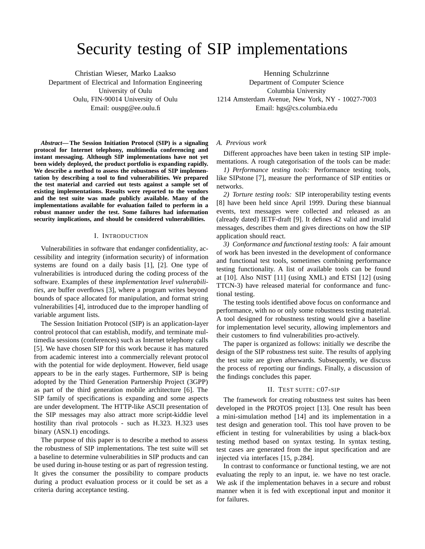# Security testing of SIP implementations

Christian Wieser, Marko Laakso Department of Electrical and Information Engineering University of Oulu Oulu, FIN-90014 University of Oulu Email: ouspg@ee.oulu.fi

Henning Schulzrinne Department of Computer Science Columbia University 1214 Amsterdam Avenue, New York, NY - 10027-7003 Email: hgs@cs.columbia.edu

*Abstract***— The Session Initiation Protocol (SIP) is a signaling protocol for Internet telephony, multimedia conferencing and instant messaging. Although SIP implementations have not yet been widely deployed, the product portfolio is expanding rapidly. We describe a method to assess the robustness of SIP implementation by describing a tool to find vulnerabilities. We prepared the test material and carried out tests against a sample set of existing implementations. Results were reported to the vendors and the test suite was made publicly available. Many of the implementations available for evaluation failed to perform in a robust manner under the test. Some failures had information security implications, and should be considered vulnerabilities.**

## I. INTRODUCTION

Vulnerabilities in software that endanger confidentiality, accessibility and integrity (information security) of information systems are found on a daily basis [1], [2]. One type of vulnerabilities is introduced during the coding process of the software. Examples of these *implementation level vulnerabilities*, are buffer overflows [3], where a program writes beyond bounds of space allocated for manipulation, and format string vulnerabilities [4], introduced due to the improper handling of variable argument lists.

The Session Initiation Protocol (SIP) is an application-layer control protocol that can establish, modify, and terminate multimedia sessions (conferences) such as Internet telephony calls [5]. We have chosen SIP for this work because it has matured from academic interest into a commercially relevant protocol with the potential for wide deployment. However, field usage appears to be in the early stages. Furthermore, SIP is being adopted by the Third Generation Partnership Project (3GPP) as part of the third generation mobile architecture [6]. The SIP family of specifications is expanding and some aspects are under development. The HTTP-like ASCII presentation of the SIP messages may also attract more script-kiddie level hostility than rival protocols - such as H.323. H.323 uses binary (ASN.1) encodings.

The purpose of this paper is to describe a method to assess the robustness of SIP implementations. The test suite will set a baseline to determine vulnerabilities in SIP products and can be used during in-house testing or as part of regression testing. It gives the consumer the possibility to compare products during a product evaluation process or it could be set as a criteria during acceptance testing.

#### *A. Previous work*

Different approaches have been taken in testing SIP implementations. A rough categorisation of the tools can be made:

*1) Performance testing tools:* Performance testing tools, like SIPstone [7], measure the performance of SIP entities or networks.

*2) Torture testing tools:* SIP interoperability testing events [8] have been held since April 1999. During these biannual events, text messages were collected and released as an (already dated) IETF-draft [9]. It defines 42 valid and invalid messages, describes them and gives directions on how the SIP application should react.

*3) Conformance and functional testing tools:* A fair amount of work has been invested in the development of conformance and functional test tools, sometimes combining performance testing functionality. A list of available tools can be found at [10]. Also NIST [11] (using XML) and ETSI [12] (using TTCN-3) have released material for conformance and functional testing.

The testing tools identified above focus on conformance and performance, with no or only some robustness testing material. A tool designed for robustness testing would give a baseline for implementation level security, allowing implementors and their customers to find vulnerabilities pro-actively.

The paper is organized as follows: initially we describe the design of the SIP robustness test suite. The results of applying the test suite are given afterwards. Subsequently, we discuss the process of reporting our findings. Finally, a discussion of the findings concludes this paper.

## II. TEST SUITE: C07-SIP

The framework for creating robustness test suites has been developed in the PROTOS project [13]. One result has been a mini-simulation method [14] and its implementation in a test design and generation tool. This tool have proven to be efficient in testing for vulnerabilities by using a black-box testing method based on syntax testing. In syntax testing, test cases are generated from the input specification and are injected via interfaces [15, p.284].

In contrast to conformance or functional testing, we are not evaluating the reply to an input, ie. we have no test oracle. We ask if the implementation behaves in a secure and robust manner when it is fed with exceptional input and monitor it for failures.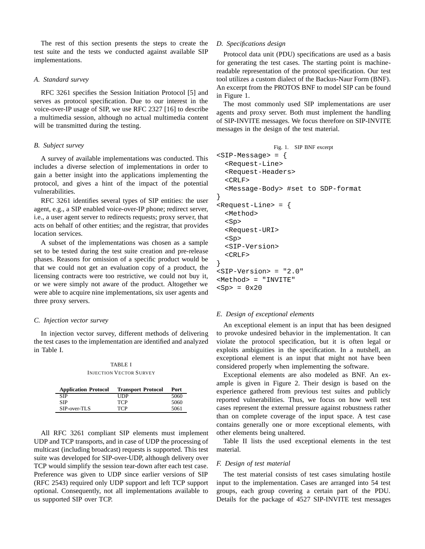The rest of this section presents the steps to create the test suite and the tests we conducted against available SIP implementations.

## *A. Standard survey*

RFC 3261 specifies the Session Initiation Protocol [5] and serves as protocol specification. Due to our interest in the voice-over-IP usage of SIP, we use RFC 2327 [16] to describe a multimedia session, although no actual multimedia content will be transmitted during the testing.

## *B. Subject survey*

A survey of available implementations was conducted. This includes a diverse selection of implementations in order to gain a better insight into the applications implementing the protocol, and gives a hint of the impact of the potential vulnerabilities.

RFC 3261 identifies several types of SIP entities: the user agent, e.g., a SIP enabled voice-over-IP phone; redirect server, i.e., a user agent server to redirects requests; proxy server, that acts on behalf of other entities; and the registrar, that provides location services.

A subset of the implementations was chosen as a sample set to be tested during the test suite creation and pre-release phases. Reasons for omission of a specific product would be that we could not get an evaluation copy of a product, the licensing contracts were too restrictive, we could not buy it, or we were simply not aware of the product. Altogether we were able to acquire nine implementations, six user agents and three proxy servers.

## *C. Injection vector survey*

In injection vector survey, different methods of delivering the test cases to the implementation are identified and analyzed in Table I.

TABLE I INJECTION VECTOR SURVEY

| <b>Application Protocol</b> | <b>Transport Protocol</b> | Port |
|-----------------------------|---------------------------|------|
| <b>SIP</b>                  | UDP                       | 5060 |
| <b>SIP</b>                  | <b>TCP</b>                | 5060 |
| SIP-over-TLS                | <b>TCP</b>                | 5061 |

All RFC 3261 compliant SIP elements must implement UDP and TCP transports, and in case of UDP the processing of multicast (including broadcast) requests is supported. This test suite was developed for SIP-over-UDP, although delivery over TCP would simplify the session tear-down after each test case. Preference was given to UDP since earlier versions of SIP (RFC 2543) required only UDP support and left TCP support optional. Consequently, not all implementations available to us supported SIP over TCP.

## *D. Specifications design*

Protocol data unit (PDU) specifications are used as a basis for generating the test cases. The starting point is machinereadable representation of the protocol specification. Our test tool utilizes a custom dialect of the Backus-Naur Form (BNF). An excerpt from the PROTOS BNF to model SIP can be found in Figure 1.

The most commonly used SIP implementations are user agents and proxy server. Both must implement the handling of SIP-INVITE messages. We focus therefore on SIP-INVITE messages in the design of the test material.

```
Fig. 1. SIP BNF excerpt
<SIP-Message> = {
  <Request-Line>
  <Request-Headers>
  <CRLF>
  <Message-Body> #set to SDP-format
}
<Request-Line> = {
  <Method>
  <Sp>
  <Request-URI>
  <Sp>
  <SIP-Version>
  <CRLF>
}
<SIP-Version> = "2.0"
<Method> = "INVITE"
<Sp> = 0x20
```
## *E. Design of exceptional elements*

An exceptional element is an input that has been designed to provoke undesired behavior in the implementation. It can violate the protocol specification, but it is often legal or exploits ambiguities in the specification. In a nutshell, an exceptional element is an input that might not have been considered properly when implementing the software.

Exceptional elements are also modeled as BNF. An example is given in Figure 2. Their design is based on the experience gathered from previous test suites and publicly reported vulnerabilities. Thus, we focus on how well test cases represent the external pressure against robustness rather than on complete coverage of the input space. A test case contains generally one or more exceptional elements, with other elements being unaltered.

Table II lists the used exceptional elements in the test material.

## *F. Design of test material*

The test material consists of test cases simulating hostile input to the implementation. Cases are arranged into 54 test groups, each group covering a certain part of the PDU. Details for the package of 4527 SIP-INVITE test messages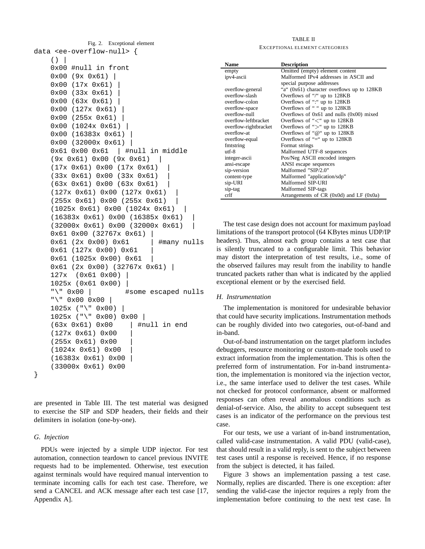```
Fig. 2. Exceptional element
data <ee-overflow-null> {
    ( )0x00 #null in front
    0x00 (9x 0x61) |
    0x00 (17x 0x61) |
    0x00 (33x 0x61) |
    0x00 (63x 0x61) |
    0x00 (127x 0x61) |
    0x00 (255x 0x61) |
    0x00 (1024x 0x61) |
    0x00 (16383x 0x61) |
    0x00 (32000x 0x61) |
    0x61 0x00 0x61 | #null in middle
    (9x 0x61) 0x00 (9x 0x61) |
    (17x 0x61) 0x00 (17x 0x61) |
    (33x 0x61) 0x00 (33x 0x61) |
    (63x 0x61) 0x00 (63x 0x61) |
    (127x 0x61) 0x00 (127x 0x61) |
    (255x 0x61) 0x00 (255x 0x61) |
    (1025x 0x61) 0x00 (1024x 0x61) |
    (16383x 0x61) 0x00 (16385x 0x61) |
    (32000x 0x61) 0x00 (32000x 0x61) |
    0x61 0x00 (32767x 0x61) |
    0x61 (2x 0x00) 0x61 | #many nulls
    0x61 (127x 0x00) 0x61 |
    0x61 (1025x 0x00) 0x61 |
    0x61 (2x 0x00) (32767x 0x61) |
    127x (0x61 0x00) |
    1025x (0x61 0x00) |
    "\" 0x00 | #some escaped nulls
    "\" 0x00 0x00 |
    1025x ("\" 0x00) |
    1025x ("\" 0x00) 0x00 |
    (63x 0x61) 0x00 | #null in end
    (127x 0x61) 0x00 |
    (255x 0x61) 0x00 |
    (1024x 0x61) 0x00 |
    (16383x 0x61) 0x00 |
    (33000x 0x61) 0x00
}
```
are presented in Table III. The test material was designed to exercise the SIP and SDP headers, their fields and their delimiters in isolation (one-by-one).

## *G. Injection*

PDUs were injected by a simple UDP injector. For test automation, connection teardown to cancel previous INVITE requests had to be implemented. Otherwise, test execution against terminals would have required manual intervention to terminate incoming calls for each test case. Therefore, we send a CANCEL and ACK message after each test case [17, Appendix A].

## TABLE II

#### EXCEPTIONAL ELEMENT CATEGORIES

| <b>Name</b>           | <b>Description</b>                           |
|-----------------------|----------------------------------------------|
| empty                 | Omitted (empty) element content              |
| ipv4-ascii            | Malformed IPv4 addresses in ASCII and        |
|                       | special purpose addresses                    |
| overflow-general      | "a" (0x61) character overflows up to 128KB   |
| overflow-slash        | Overflows of "/" up to 128KB                 |
| overflow-colon        | Overflows of ":" up to 128KB                 |
| overflow-space        | Overflows of " " up to 128KB                 |
| overflow-null         | Overflows of $0x61$ and nulls $(0x00)$ mixed |
| overflow-leftbracket  | Overflows of " $\lt$ " up to 128KB           |
| overflow-rightbracket | Overflows of " $>$ " up to 128KB             |
| overflow-at           | Overflows of " $@$ " up to 128KB             |
| overflow-equal        | Overflows of "=" up to $128KB$               |
| fmtstring             | Format strings                               |
| $\mathbf{u}$ trees    | Malformed UTF-8 sequences                    |
| integer-ascii         | Pos/Neg ASCII encoded integers               |
| ansi-escape           | ANSI escape sequences                        |
| sip-version           | Malformed "SIP/2.0"                          |
| content-type          | Malformed "application/sdp"                  |
| sip-URI               | Malformed SIP-URI                            |
| sip-tag               | Malformed SIP-tags                           |
| crlf                  | Arrangements of $CR$ (0x0d) and $LF$ (0x0a)  |

The test case design does not account for maximum payload limitations of the transport protocol (64 KBytes minus UDP/IP headers). Thus, almost each group contains a test case that is silently truncated to a configurable limit. This behavior may distort the interpretation of test results, i.e., some of the observed failures may result from the inability to handle truncated packets rather than what is indicated by the applied exceptional element or by the exercised field.

# *H. Instrumentation*

The implementation is monitored for undesirable behavior that could have security implications. Instrumentation methods can be roughly divided into two categories, out-of-band and in-band.

Out-of-band instrumentation on the target platform includes debuggers, resource monitoring or custom-made tools used to extract information from the implementation. This is often the preferred form of instrumentation. For in-band instrumentation, the implementation is monitored via the injection vector, i.e., the same interface used to deliver the test cases. While not checked for protocol conformance, absent or malformed responses can often reveal anomalous conditions such as denial-of-service. Also, the ability to accept subsequent test cases is an indicator of the performance on the previous test case.

For our tests, we use a variant of in-band instrumentation, called valid-case instrumentation. A valid PDU (valid-case), that should result in a valid reply, is sent to the subject between test cases until a response is received. Hence, if no response from the subject is detected, it has failed.

Figure 3 shows an implementation passing a test case. Normally, replies are discarded. There is one exception: after sending the valid-case the injector requires a reply from the implementation before continuing to the next test case. In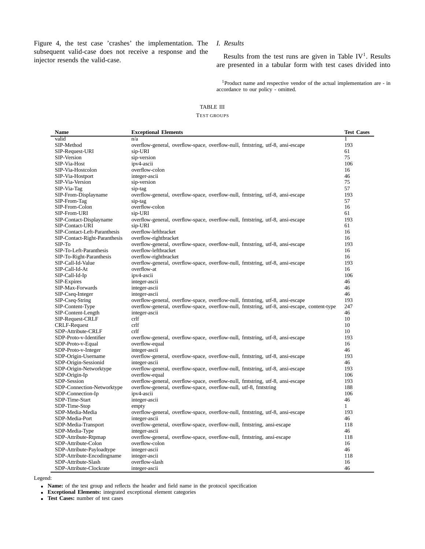Figure 4, the test case 'crashes' the implementation. The subsequent valid-case does not receive a response and the injector resends the valid-case.

# *I. Results*

Results from the test runs are given in Table  $IV^1$ . Results are presented in a tabular form with test cases divided into

<sup>1</sup>Product name and respective vendor of the actual implementation are - in accordance to our policy - omitted.

# TABLE III

## TEST GROUPS

| Name                                  | <b>Exceptional Elements</b>                                                                  | <b>Test Cases</b> |
|---------------------------------------|----------------------------------------------------------------------------------------------|-------------------|
| valid                                 | n/a                                                                                          | $\mathbf{1}$      |
| SIP-Method                            | overflow-general, overflow-space, overflow-null, fmtstring, utf-8, ansi-escape               | 193               |
| SIP-Request-URI                       | sip-URI                                                                                      | 61                |
| SIP-Version                           | sip-version                                                                                  | 75                |
| SIP-Via-Host                          | ipv4-ascii                                                                                   | 106               |
| SIP-Via-Hostcolon                     | overflow-colon                                                                               | 16                |
| SIP-Via-Hostport                      | integer-ascii                                                                                | 46                |
| SIP-Via-Version                       | sip-version                                                                                  | 75                |
| SIP-Via-Tag                           | sip-tag                                                                                      | 57                |
| SIP-From-Displayname                  | overflow-general, overflow-space, overflow-null, fmtstring, utf-8, ansi-escape               | 193               |
| SIP-From-Tag                          | sip-tag                                                                                      | 57                |
| SIP-From-Colon                        | overflow-colon                                                                               | 16                |
| SIP-From-URI                          | sip-URI                                                                                      | 61                |
| SIP-Contact-Displayname               | overflow-general, overflow-space, overflow-null, fmtstring, utf-8, ansi-escape               | 193               |
| SIP-Contact-URI                       | sip-URI                                                                                      | 61                |
| SIP-Contact-Left-Paranthesis          | overflow-leftbracket                                                                         | 16                |
| SIP-Contact-Right-Paranthesis         | overflow-rightbracket                                                                        | 16                |
| $SIP-TO$                              | overflow-general, overflow-space, overflow-null, fmtstring, utf-8, ansi-escape               | 193               |
| SIP-To-Left-Paranthesis               | overflow-leftbracket                                                                         | 16                |
| SIP-To-Right-Paranthesis              | overflow-rightbracket                                                                        | 16                |
| SIP-Call-Id-Value                     | overflow-general, overflow-space, overflow-null, fmtstring, utf-8, ansi-escape               | 193               |
| SIP-Call-Id-At                        | overflow-at                                                                                  | 16                |
| SIP-Call-Id-Ip                        | ipv4-ascii                                                                                   | 106               |
| SIP-Expires                           | integer-ascii                                                                                | 46                |
| SIP-Max-Forwards                      | integer-ascii                                                                                | 46                |
| SIP-Cseq-Integer                      | integer-ascii                                                                                | 46                |
| SIP-Cseq-String                       | overflow-general, overflow-space, overflow-null, fmtstring, utf-8, ansi-escape               | 193               |
| SIP-Content-Type                      | overflow-general, overflow-space, overflow-null, fmtstring, utf-8, ansi-escape, content-type | 247               |
| SIP-Content-Length                    | integer-ascii                                                                                | 46                |
| SIP-Request-CRLF                      | crlf                                                                                         | 10                |
| <b>CRLF-Request</b>                   | crlf                                                                                         | 10                |
| SDP-Attribute-CRLF                    | crlf                                                                                         | 10                |
| SDP-Proto-v-Identifier                | overflow-general, overflow-space, overflow-null, fmtstring, utf-8, ansi-escape               | 193               |
| SDP-Proto-v-Equal                     | overflow-equal                                                                               | 16                |
| SDP-Proto-v-Integer                   | integer-ascii                                                                                | 46                |
| SDP-Origin-Username                   | overflow-general, overflow-space, overflow-null, fmtstring, utf-8, ansi-escape               | 193               |
| SDP-Origin-Sessionid                  | integer-ascii                                                                                | 46                |
| SDP-Origin-Networktype                | overflow-general, overflow-space, overflow-null, fmtstring, utf-8, ansi-escape               | 193               |
| SDP-Origin-Ip                         | overflow-equal                                                                               | 106               |
| SDP-Session                           | overflow-general, overflow-space, overflow-null, fmtstring, utf-8, ansi-escape               | 193               |
| SDP-Connection-Networktype            | overflow-general, overflow-space, overflow-null, utf-8, fmtstring                            | 188               |
| SDP-Connection-Ip                     | ipv4-ascii                                                                                   | 106               |
| SDP-Time-Start                        | integer-ascii                                                                                | 46                |
| SDP-Time-Stop                         | empty                                                                                        | $\mathbf{1}$      |
| SDP-Media-Media                       | overflow-general, overflow-space, overflow-null, fmtstring, utf-8, ansi-escape               | 193               |
| SDP-Media-Port                        | integer-ascii                                                                                | 46                |
|                                       |                                                                                              | 118               |
| SDP-Media-Transport<br>SDP-Media-Type | overflow-general, overflow-space, overflow-null, fmtstring, ansi-escape<br>integer-ascii     | 46                |
| SDP-Attribute-Rtpmap                  | overflow-general, overflow-space, overflow-null, fmtstring, ansi-escape                      | 118               |
| SDP-Attribute-Colon                   | overflow-colon                                                                               | 16                |
| SDP-Attribute-Payloadtype             | integer-ascii                                                                                | 46                |
| SDP-Attribute-Encodingname            | integer-ascii                                                                                | 118               |
| SDP-Attribute-Slash                   | overflow-slash                                                                               | 16                |
| SDP-Attribute-Clockrate               | integer-ascii                                                                                | 46                |
|                                       |                                                                                              |                   |

Legend:

**Name:** of the test group and reflects the header and field name in the protocol specification

**Exceptional Elements:** integrated exceptional element categories

**Test Cases:** number of test cases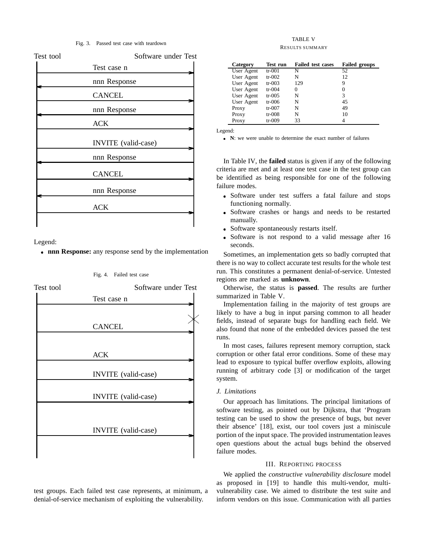#### Fig. 3. Passed test case with teardown

| Test tool | Software under Test |
|-----------|---------------------|
|           | Test case n         |
|           | nnn Response        |
|           | <b>CANCEL</b>       |
|           | nnn Response        |
|           | <b>ACK</b>          |
|           | INVITE (valid-case) |
|           | nnn Response        |
|           | <b>CANCEL</b>       |
|           | nnn Response        |
|           | ACK                 |
|           |                     |

Legend:

I

**nnn Response:** any response send by the implementation

Fig. 4. Failed test case



test groups. Each failed test case represents, at minimum, a denial-of-service mechanism of exploiting the vulnerability.

## TABLE V RESULTS SUMMARY

| Category   | <b>Test run</b> | <b>Failed test cases</b> | <b>Failed groups</b> |
|------------|-----------------|--------------------------|----------------------|
| User Agent | $tr-001$        | N                        | 52                   |
| User Agent | tr- $002$       | N                        | 12                   |
| User Agent | $tr-003$        | 129                      | 9                    |
| User Agent | $tr-004$        | 0                        |                      |
| User Agent | $tr-005$        | N                        | 3                    |
| User Agent | $tr-006$        | N                        | 45                   |
| Proxy      | $tr-007$        | N                        | 49                   |
| Proxy      | $tr-008$        | N                        | 10                   |
| Proxy      | $tr-009$        | 33                       |                      |

Legend:

**N**: we were unable to determine the exact number of failures

In Table IV, the **failed** status is given if any of the following criteria are met and at least one test case in the test group can be identified as being responsible for one of the following failure modes.

- Software under test suffers a fatal failure and stops functioning normally.
- Software crashes or hangs and needs to be restarted manually.
- Software spontaneously restarts itself.
- Software is not respond to a valid message after 16 seconds.

Sometimes, an implementation gets so badly corrupted that there is no way to collect accurate test results for the whole test run. This constitutes a permanent denial-of-service. Untested regions are marked as **unknown**.

Otherwise, the status is **passed**. The results are further summarized in Table V.

Implementation failing in the majority of test groups are likely to have a bug in input parsing common to all header fields, instead of separate bugs for handling each field. We also found that none of the embedded devices passed the test runs.

In most cases, failures represent memory corruption, stack corruption or other fatal error conditions. Some of these may lead to exposure to typical buffer overflow exploits, allowing running of arbitrary code [3] or modification of the target system.

## *J. Limitations*

Our approach has limitations. The principal limitations of software testing, as pointed out by Dijkstra, that 'Program testing can be used to show the presence of bugs, but never their absence' [18], exist, our tool covers just a miniscule portion of the input space. The provided instrumentation leaves open questions about the actual bugs behind the observed failure modes.

## III. REPORTING PROCESS

We applied the *constructive vulnerability disclosure* model as proposed in [19] to handle this multi-vendor, multivulnerability case. We aimed to distribute the test suite and inform vendors on this issue. Communication with all parties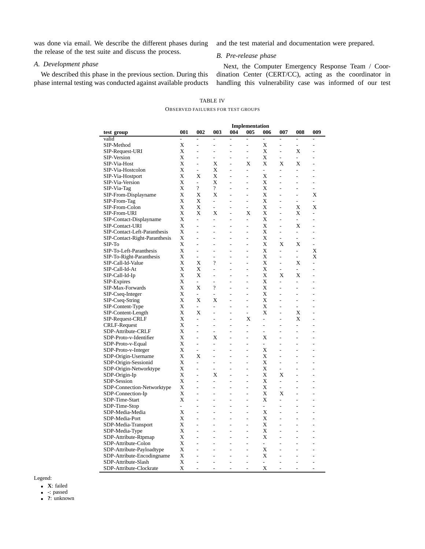was done via email. We describe the different phases during the release of the test suite and discuss the process.

# *A. Development phase*

We described this phase in the previous section. During this phase internal testing was conducted against available products and the test material and documentation were prepared.

# *B. Pre-release phase*

Next, the Computer Emergency Response Team / Coordination Center (CERT/CC), acting as the coordinator in handling this vulnerability case was informed of our test

|                                             |                          |                          |                                            | <b>Implementation</b>    |                              |                          |                |                          |                              |
|---------------------------------------------|--------------------------|--------------------------|--------------------------------------------|--------------------------|------------------------------|--------------------------|----------------|--------------------------|------------------------------|
| test group                                  | 001                      | 002                      | 003                                        | 004                      | 005                          | 006                      | 007            | 008                      | 009                          |
| valid                                       |                          | L                        | $\overline{a}$                             | $\overline{a}$           | L.                           | $\overline{a}$           | L              | $\overline{a}$           | L,                           |
| SIP-Method                                  | Х                        | $\overline{a}$           | $\overline{a}$                             | $\overline{a}$           | $\qquad \qquad \blacksquare$ | Х                        | $\overline{a}$ | $\overline{a}$           | $\overline{a}$               |
| SIP-Request-URI                             | Х                        |                          |                                            |                          | -                            | Х                        |                | Х                        |                              |
| SIP-Version                                 | Χ                        |                          | ä,                                         |                          | ÷,                           | Х                        | L              | $\overline{a}$           |                              |
| SIP-Via-Host                                | Х                        | L,                       | Х                                          | L,                       | Х                            | X                        | X              | X                        | $\overline{a}$               |
| SIP-Via-Hostcolon                           | Х                        | L.                       | Х                                          | ä,                       | $\overline{a}$               | ٠                        | L,             | ä,                       |                              |
| SIP-Via-Hostport                            | X                        | X                        | X                                          |                          | $\overline{a}$               | Х                        |                |                          |                              |
| SIP-Via-Version                             | X                        | L,                       | Х                                          | $\overline{a}$           | $\overline{a}$               | X                        |                |                          | $\overline{\phantom{0}}$     |
| SIP-Via-Tag                                 | Х                        | $\overline{\mathcal{L}}$ | $\overline{\cdot}$                         | L,                       | L,                           | Х                        |                | L,                       |                              |
| SIP-From-Displayname                        | X                        | X                        | X                                          | $\overline{a}$           | L,                           | X                        |                | $\overline{a}$           | X                            |
| SIP-From-Tag                                | X                        | X                        | $\overline{\phantom{0}}$                   | $\overline{\phantom{0}}$ | $\overline{a}$               | X                        |                | ۰                        |                              |
| SIP-From-Colon                              | Х                        | X                        | L,                                         |                          | ÷,                           | Х                        |                | X                        | Х                            |
| SIP-From-URI                                | X                        | X                        | Х                                          | L,                       | Х                            | X                        |                | Х                        | $\overline{a}$               |
| SIP-Contact-Displayname                     | Х                        | $\overline{\phantom{m}}$ | $\overline{a}$                             | $\overline{a}$           | $\qquad \qquad \blacksquare$ | X                        |                | $\overline{\phantom{0}}$ |                              |
| SIP-Contact-URI                             | Х                        |                          | L.                                         |                          | $\overline{a}$               | Х                        |                | X                        |                              |
| SIP-Contact-Left-Paranthesis                | Х                        | ä,                       | $\overline{a}$                             | L,                       | L,                           | X                        |                | $\overline{\phantom{0}}$ |                              |
|                                             | X                        |                          | ÷,                                         | $\overline{a}$           | $\overline{\phantom{m}}$     | X                        | $\overline{a}$ |                          |                              |
| SIP-Contact-Right-Paranthesis<br>SIP-To     | Х                        |                          | $\overline{a}$                             | $\overline{a}$           | $\overline{a}$               | Х                        | Х              | Х                        |                              |
|                                             |                          |                          |                                            |                          |                              |                          | L.             |                          |                              |
| SIP-To-Left-Paranthesis                     | Х                        | L,                       | L,                                         | $\overline{a}$           | L,                           | X                        |                | $\overline{a}$           | Х                            |
| SIP-To-Right-Paranthesis                    | Х<br>X                   | L,                       | $\overline{a}$<br>$\overline{\mathcal{L}}$ | L,                       | $\overline{a}$               | Х                        | L,             | L,                       | X                            |
| SIP-Call-Id-Value                           |                          | X                        |                                            |                          |                              | X                        |                | Х                        |                              |
| SIP-Call-Id-At                              | Х                        | Х                        | L,                                         | L,                       | $\overline{a}$               | Х                        | L,             | $\overline{a}$           |                              |
| SIP-Call-Id-Ip                              | Х                        | Х                        | $\overline{a}$                             | L,                       | L,                           | Х                        | Х              | X                        | $\overline{a}$               |
| SIP-Expires                                 | X                        | $\overline{a}$           | $\overline{a}$                             |                          | $\overline{a}$               | Х                        | $\overline{a}$ | $\overline{a}$           |                              |
| SIP-Max-Forwards                            | Х                        | Х                        | $\overline{\cdot}$                         | L,                       | $\overline{a}$               | Х                        |                | ä,                       | ٠                            |
| SIP-Cseq-Integer                            | Х                        | $\overline{a}$           | ä,                                         | L,                       | L,                           | X                        | $\overline{a}$ | L,                       | ÷,                           |
| SIP-Cseq-String                             | Х                        | X                        | Х                                          |                          | L,                           | X                        |                | $\overline{a}$           |                              |
| SIP-Content-Type                            | Х                        | $\overline{\phantom{a}}$ | $\overline{a}$                             | $\overline{a}$           | $\overline{a}$               | Х                        |                | ä,                       |                              |
| SIP-Content-Length                          | Х                        | Х                        | L,                                         | ä,                       | $\overline{a}$               | Х                        |                | Х                        |                              |
| SIP-Request-CRLF                            | Х                        | $\overline{\phantom{a}}$ | ÷,                                         | ä,                       | Х                            | ٠                        | L              | X                        | ÷,                           |
| CRLF-Request                                | X                        |                          |                                            |                          |                              |                          |                |                          |                              |
| SDP-Attribute-CRLF                          | Х                        | ä,                       | L,                                         | L,                       | L,                           | ä,                       |                |                          |                              |
| SDP-Proto-v-Identifier                      | Х                        | ä,                       | Х                                          | L,                       | ÷,                           | Х                        |                | $\overline{a}$           | ÷,                           |
| SDP-Proto-v-Equal                           | X                        | L,                       | L,                                         | $\overline{a}$           | ٠                            | $\overline{a}$           |                | L.                       |                              |
| SDP-Proto-v-Integer                         | Х                        | $\overline{a}$           | L,                                         | $\overline{a}$           | $\overline{a}$               | Х                        |                |                          | ٠                            |
| SDP-Origin-Username                         | X                        | Х                        | $\overline{a}$                             | ÷,                       | $\overline{a}$               | X                        |                | ۰                        | $\overline{a}$               |
| SDP-Origin-Sessionid                        | X                        | L,                       | L,                                         |                          | L,                           | Х                        |                | $\overline{a}$           |                              |
| SDP-Origin-Networktype                      | X                        | $\overline{a}$           | $\overline{a}$                             |                          |                              | Х                        |                |                          |                              |
| SDP-Origin-Ip                               | X                        | L,                       | X                                          | $\overline{a}$           | L,                           | Х                        | Х              | $\overline{a}$           | $\overline{a}$               |
| SDP-Session                                 | Х                        | L,                       | -                                          | $\overline{a}$           | L,                           | Х                        | L              | ÷.                       |                              |
| SDP-Connection-Networktype                  | X                        | L,                       | L,                                         | L,                       | L,                           | Х                        | $\overline{a}$ | $\overline{a}$           | ÷,                           |
| SDP-Connection-Ip                           | Х                        | L,                       | $\overline{a}$                             | $\overline{a}$           | $\overline{\phantom{m}}$     | X                        | X              | $\overline{a}$           | $\qquad \qquad \blacksquare$ |
| SDP-Time-Start                              | Х                        | L.                       | Ĭ.                                         | $\overline{a}$           | L,                           | Х                        |                |                          |                              |
| SDP-Time-Stop                               | $\overline{\phantom{a}}$ | ÷,                       | $\overline{a}$                             | $\overline{a}$           | $\overline{a}$               | ÷.                       |                | $\overline{a}$           | L,                           |
| SDP-Media-Media                             | X                        |                          | ÷,                                         | -                        | $\overline{\phantom{m}}$     | X                        |                |                          |                              |
| SDP-Media-Port                              | Х                        | $\overline{a}$           | L                                          | $\overline{a}$           | $\overline{a}$               | Х                        |                |                          |                              |
| SDP-Media-Transport                         | Х                        | ۰                        | L,                                         | $\overline{a}$           | L,                           | X                        |                | $\overline{a}$           | ۰                            |
|                                             | Х                        |                          | -                                          | $\overline{a}$           | $\overline{a}$               | Х                        |                |                          |                              |
| SDP-Media-Type                              | Х                        |                          | Ĭ.                                         |                          | L,                           | X                        |                |                          |                              |
| SDP-Attribute-Rtpmap<br>SDP-Attribute-Colon | Х                        | ä,                       | ä,                                         | L,                       | ÷,                           | $\overline{\phantom{0}}$ |                | L,                       | ٠                            |
|                                             | X                        |                          |                                            |                          |                              |                          |                |                          |                              |
| SDP-Attribute-Payloadtype                   |                          | $\overline{a}$           | $\overline{a}$                             |                          | $\overline{a}$               | X                        |                |                          |                              |
| SDP-Attribute-Encodingname                  | X                        |                          |                                            |                          |                              | Х                        |                |                          |                              |
| SDP-Attribute-Slash                         | Х                        | $\overline{a}$           | $\overline{a}$                             | $\overline{a}$           | $\overline{a}$               | $\overline{\phantom{0}}$ |                | $\overline{a}$           | $\overline{a}$               |
| SDP-Attribute-Clockrate                     | X                        | L,                       | L,                                         | ٠                        | L,                           | X                        | ٠              | L,                       | L,                           |

TABLE IV OBSERVED FAILURES FOR TEST GROUPS

Legend:

**X**: failed

**-**: passed

**?**: unknown